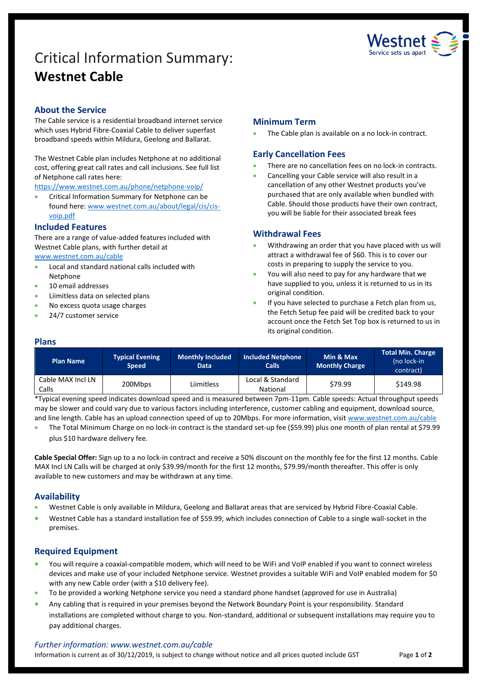# Critical Information Summary: **Westnet Cable**



# **About the Service**

The Cable service is a residential broadband internet service which uses Hybrid Fibre-Coaxial Cable to deliver superfast broadband speeds within Mildura, Geelong and Ballarat.

The Westnet Cable plan includes Netphone at no additional cost, offering great call rates and call inclusions. See full list of Netphone call rates here:

<https://www.westnet.com.au/phone/netphone-voip/>

**•** Critical Information Summary for Netphone can be found here: [www.westnet.com.au/about/legal/cis/cis](http://www.westnet.com.au/about/legal/cis/cis-voip.pdf)[voip.pdf](http://www.westnet.com.au/about/legal/cis/cis-voip.pdf)

#### **Included Features**

There are a range of value-added features included with Westnet Cable plans, with further detail at [www.westnet.com.au/cable](http://www.westnet.com.au/cable)

- Local and standard national calls included with Netphone
- 10 email addresses
- Liimitless data on selected plans
- No excess quota usage charges
- 24/7 customer service

# **Minimum Term**

The Cable plan is available on a no lock-in contract.

# **Early Cancellation Fees**

- There are no cancellation fees on no lock-in contracts.
- Cancelling your Cable service will also result in a cancellation of any other Westnet products you've purchased that are only available when bundled with Cable. Should those products have their own contract, you will be liable for their associated break fees

# **Withdrawal Fees**

- Withdrawing an order that you have placed with us will attract a withdrawal fee of \$60. This is to cover our costs in preparing to supply the service to you.
- You will also need to pay for any hardware that we have supplied to you, unless it is returned to us in its original condition.
- If you have selected to purchase a Fetch plan from us, the Fetch Setup fee paid will be credited back to your account once the Fetch Set Top box is returned to us in its original condition.

### **Plans**

| <b>Plan Name</b>           | <b>Typical Evening</b><br><b>Speed</b> | Monthly Included<br><b>Data</b> | <b>Included Netphone</b><br><b>Calls</b> | Min & Max<br><b>Monthly Charge</b> | <b>Total Min. Charge</b><br>(no lock-in<br>contract) |
|----------------------------|----------------------------------------|---------------------------------|------------------------------------------|------------------------------------|------------------------------------------------------|
| Cable MAX Incl LN<br>Calls | 200Mbps                                | Liimitless                      | Local & Standard<br><b>National</b>      | \$79.99                            | \$149.98                                             |

\*Typical evening speed indicates download speed and is measured between 7pm-11pm. Cable speeds: Actual throughput speeds may be slower and could vary due to various factors including interference, customer cabling and equipment, download source, and line length. Cable has an upload connection speed of up to 20Mbps. For more information, visit [www.westnet.com.au/cable](http://www.westnet.com.au/cable)

 The Total Minimum Charge on no lock-in contract is the standard set-up fee (\$59.99) plus one month of plan rental at \$79.99 plus \$10 hardware delivery fee.

**Cable Special Offer:** Sign up to a no lock-in contract and receive a 50% discount on the monthly fee for the first 12 months. Cable MAX Incl LN Calls will be charged at only \$39.99/month for the first 12 months, \$79.99/month thereafter. This offer is only available to new customers and may be withdrawn at any time.

# **Availability**

- Westnet Cable is only available in Mildura, Geelong and Ballarat areas that are serviced by Hybrid Fibre-Coaxial Cable.
- Westnet Cable has a standard installation fee of \$59.99, which includes connection of Cable to a single wall-socket in the premises.

# **Required Equipment**

- You will require a coaxial-compatible modem, which will need to be WiFi and VoIP enabled if you want to connect wireless devices and make use of your included Netphone service. Westnet provides a suitable WiFi and VoIP enabled modem for \$0 with any new Cable order (with a \$10 delivery fee).
- To be provided a working Netphone service you need a standard phone handset (approved for use in Australia)
- Any cabling that is required in your premises beyond the Network Boundary Point is your responsibility. Standard installations are completed without charge to you. Non-standard, additional or subsequent installations may require you to pay additional charges.

#### *Further information: www.westnet.com.au/cable*

Information is current as of 30/12/2019, is subject to change without notice and all prices quoted include GST Page 1 of 2